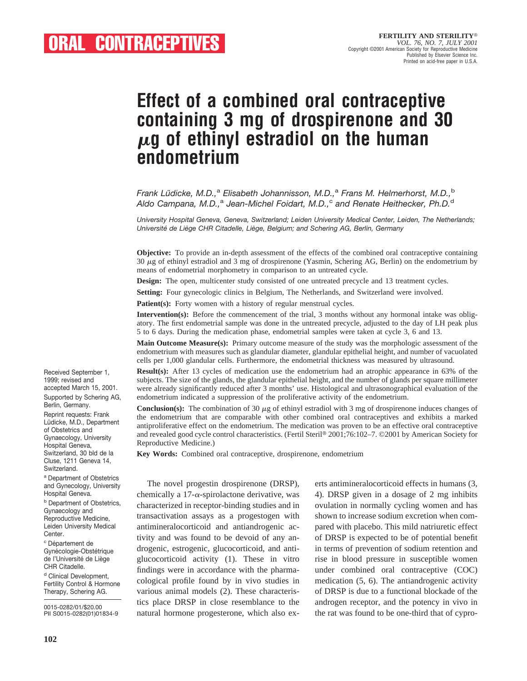# **Effect of a combined oral contraceptive containing 3 mg of drospirenone and 30** <sup>m</sup>**g of ethinyl estradiol on the human endometrium**

*Frank Lüdicke, M.D.,<sup>a</sup> Elisabeth Johannisson, M.D.,<sup>a</sup> Frans M. Helmerhorst, M.D.,<sup>b</sup> Aldo Campana, M.D.,*<sup>a</sup> *Jean-Michel Foidart, M.D.,*<sup>c</sup> *and Renate Heithecker, Ph.D.*<sup>d</sup>

*University Hospital Geneva, Geneva, Switzerland; Leiden University Medical Center, Leiden, The Netherlands; Universite´ de Lie` ge CHR Citadelle, Lie` ge, Belgium; and Schering AG, Berlin, Germany*

**Objective:** To provide an in-depth assessment of the effects of the combined oral contraceptive containing 30 <sup>m</sup>g of ethinyl estradiol and 3 mg of drospirenone (Yasmin, Schering AG, Berlin) on the endometrium by means of endometrial morphometry in comparison to an untreated cycle.

**Design:** The open, multicenter study consisted of one untreated precycle and 13 treatment cycles.

**Setting:** Four gynecologic clinics in Belgium, The Netherlands, and Switzerland were involved.

**Patient(s):** Forty women with a history of regular menstrual cycles.

**Intervention(s):** Before the commencement of the trial, 3 months without any hormonal intake was obligatory. The first endometrial sample was done in the untreated precycle, adjusted to the day of LH peak plus 5 to 6 days. During the medication phase, endometrial samples were taken at cycle 3, 6 and 13.

**Main Outcome Measure(s):** Primary outcome measure of the study was the morphologic assessment of the endometrium with measures such as glandular diameter, glandular epithelial height, and number of vacuolated cells per 1,000 glandular cells. Furthermore, the endometrial thickness was measured by ultrasound.

**Result(s):** After 13 cycles of medication use the endometrium had an atrophic appearance in 63% of the subjects. The size of the glands, the glandular epithelial height, and the number of glands per square millimeter were already significantly reduced after 3 months' use. Histological and ultrasonographical evaluation of the endometrium indicated a suppression of the proliferative activity of the endometrium.

**Conclusion(s):** The combination of 30  $\mu$ g of ethinyl estradiol with 3 mg of drospirenone induces changes of the endometrium that are comparable with other combined oral contraceptives and exhibits a marked antiproliferative effect on the endometrium. The medication was proven to be an effective oral contraceptive and revealed good cycle control characteristics. (Fertil Steril® 2001;76:102–7. ©2001 by American Society for Reproductive Medicine.)

**Key Words:** Combined oral contraceptive, drospirenone, endometrium

<sup>a</sup> Department of Obstetrics and Gynecology, University **b** Department of Obstetrics, Reproductive Medicine, Leiden University Medical Gynécologie-Obstétrique de l'Université de Liège <sup>d</sup> Clinical Development, Fertility Control & Hormone Therapy, Schering AG.

0015-0282/01/\$20.00 PII S0015-0282(01)01834-9

Received September 1, 1999; revised and accepted March 15, 2001. Supported by Schering AG,

Berlin, Germany. Reprint requests: Frank Lüdicke, M.D., Department of Obstetrics and Gynaecology, University Hospital Geneva, Switzerland, 30 bld de la Cluse, 1211 Geneva 14,

Switzerland.

Hospital Geneva.

Gynaecology and

<sup>c</sup> Département de

CHR Citadelle.

Center.

**102**

The novel progestin drospirenone (DRSP), chemically a 17- $\alpha$ -spirolactone derivative, was characterized in receptor-binding studies and in transactivation assays as a progestogen with antimineralocorticoid and antiandrogenic activity and was found to be devoid of any androgenic, estrogenic, glucocorticoid, and antiglucocorticoid activity (1). These in vitro findings were in accordance with the pharmacological profile found by in vivo studies in various animal models (2). These characteristics place DRSP in close resemblance to the natural hormone progesterone, which also exerts antimineralocorticoid effects in humans (3, 4). DRSP given in a dosage of 2 mg inhibits ovulation in normally cycling women and has shown to increase sodium excretion when compared with placebo. This mild natriuretic effect of DRSP is expected to be of potential benefit in terms of prevention of sodium retention and rise in blood pressure in susceptible women under combined oral contraceptive (COC) medication (5, 6). The antiandrogenic activity of DRSP is due to a functional blockade of the androgen receptor, and the potency in vivo in the rat was found to be one-third that of cypro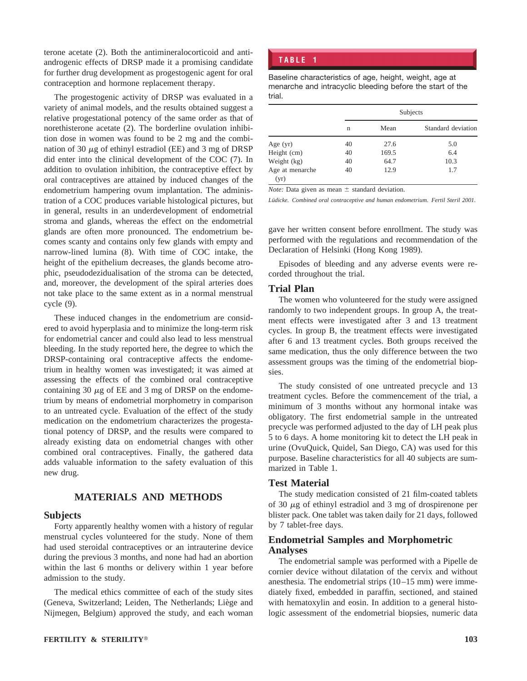terone acetate (2). Both the antimineralocorticoid and antiandrogenic effects of DRSP made it a promising candidate for further drug development as progestogenic agent for oral contraception and hormone replacement therapy.

The progestogenic activity of DRSP was evaluated in a variety of animal models, and the results obtained suggest a relative progestational potency of the same order as that of norethisterone acetate (2). The borderline ovulation inhibition dose in women was found to be 2 mg and the combination of 30  $\mu$ g of ethinyl estradiol (EE) and 3 mg of DRSP did enter into the clinical development of the COC (7). In addition to ovulation inhibition, the contraceptive effect by oral contraceptives are attained by induced changes of the endometrium hampering ovum implantation. The administration of a COC produces variable histological pictures, but in general, results in an underdevelopment of endometrial stroma and glands, whereas the effect on the endometrial glands are often more pronounced. The endometrium becomes scanty and contains only few glands with empty and narrow-lined lumina (8). With time of COC intake, the height of the epithelium decreases, the glands become atrophic, pseudodezidualisation of the stroma can be detected, and, moreover, the development of the spiral arteries does not take place to the same extent as in a normal menstrual cycle (9).

These induced changes in the endometrium are considered to avoid hyperplasia and to minimize the long-term risk for endometrial cancer and could also lead to less menstrual bleeding. In the study reported here, the degree to which the DRSP-containing oral contraceptive affects the endometrium in healthy women was investigated; it was aimed at assessing the effects of the combined oral contraceptive containing 30  $\mu$ g of EE and 3 mg of DRSP on the endometrium by means of endometrial morphometry in comparison to an untreated cycle. Evaluation of the effect of the study medication on the endometrium characterizes the progestational potency of DRSP, and the results were compared to already existing data on endometrial changes with other combined oral contraceptives. Finally, the gathered data adds valuable information to the safety evaluation of this new drug.

# **MATERIALS AND METHODS**

## **Subjects**

Forty apparently healthy women with a history of regular menstrual cycles volunteered for the study. None of them had used steroidal contraceptives or an intrauterine device during the previous 3 months, and none had had an abortion within the last 6 months or delivery within 1 year before admission to the study.

The medical ethics committee of each of the study sites (Geneva, Switzerland; Leiden, The Netherlands; Liège and Nijmegen, Belgium) approved the study, and each woman

## **TABLE 1**

Baseline characteristics of age, height, weight, age at menarche and intracyclic bleeding before the start of the trial.

|                         | Subjects |       |                    |  |
|-------------------------|----------|-------|--------------------|--|
|                         | n        | Mean  | Standard deviation |  |
| Age $(yr)$              | 40       | 27.6  | 5.0                |  |
| Height (cm)             | 40       | 169.5 | 6.4                |  |
| Weight (kg)             | 40       | 64.7  | 10.3               |  |
| Age at menarche<br>(yr) | 40       | 12.9  | 1.7                |  |

*Note:* Data given as mean  $\pm$  standard deviation.

Lüdicke. Combined oral contraceptive and human endometrium. Fertil Steril 2001.

gave her written consent before enrollment. The study was performed with the regulations and recommendation of the Declaration of Helsinki (Hong Kong 1989).

Episodes of bleeding and any adverse events were recorded throughout the trial.

### **Trial Plan**

The women who volunteered for the study were assigned randomly to two independent groups. In group A, the treatment effects were investigated after 3 and 13 treatment cycles. In group B, the treatment effects were investigated after 6 and 13 treatment cycles. Both groups received the same medication, thus the only difference between the two assessment groups was the timing of the endometrial biopsies.

The study consisted of one untreated precycle and 13 treatment cycles. Before the commencement of the trial, a minimum of 3 months without any hormonal intake was obligatory. The first endometrial sample in the untreated precycle was performed adjusted to the day of LH peak plus 5 to 6 days. A home monitoring kit to detect the LH peak in urine (OvuQuick, Quidel, San Diego, CA) was used for this purpose. Baseline characteristics for all 40 subjects are summarized in Table 1.

## **Test Material**

The study medication consisted of 21 film-coated tablets of 30  $\mu$ g of ethinyl estradiol and 3 mg of drospirenone per blister pack. One tablet was taken daily for 21 days, followed by 7 tablet-free days.

## **Endometrial Samples and Morphometric Analyses**

The endometrial sample was performed with a Pipelle de cornier device without dilatation of the cervix and without anesthesia. The endometrial strips (10–15 mm) were immediately fixed, embedded in paraffin, sectioned, and stained with hematoxylin and eosin. In addition to a general histologic assessment of the endometrial biopsies, numeric data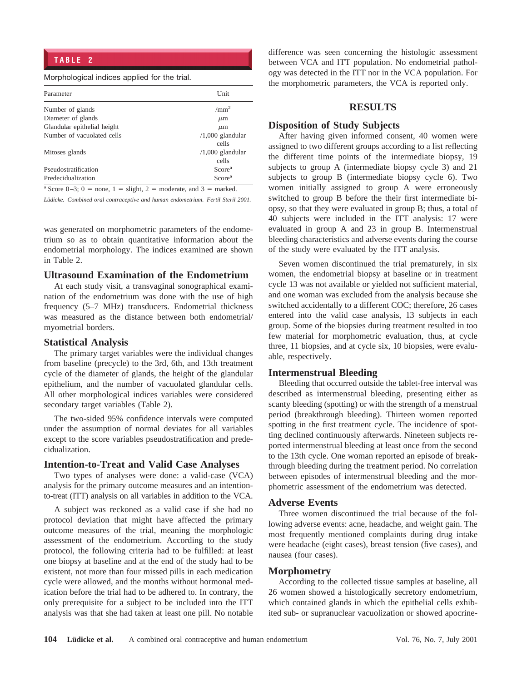#### Morphological indices applied for the trial.

| Unit               |  |  |
|--------------------|--|--|
| /mm <sup>2</sup>   |  |  |
| $\mu$ m            |  |  |
| $\mu$ m            |  |  |
| $/1,000$ glandular |  |  |
| cells              |  |  |
| $/1,000$ glandular |  |  |
| cells              |  |  |
| Score <sup>a</sup> |  |  |
| Score <sup>a</sup> |  |  |
|                    |  |  |

Score  $0-3$ ;  $0 =$  none,  $1 =$  slight,  $2 =$  moderate, and  $3 =$  marked.

Lüdicke. Combined oral contraceptive and human endometrium. Fertil Steril 2001.

was generated on morphometric parameters of the endometrium so as to obtain quantitative information about the endometrial morphology. The indices examined are shown in Table 2.

## **Ultrasound Examination of the Endometrium**

At each study visit, a transvaginal sonographical examination of the endometrium was done with the use of high frequency (5–7 MHz) transducers. Endometrial thickness was measured as the distance between both endometrial/ myometrial borders.

#### **Statistical Analysis**

The primary target variables were the individual changes from baseline (precycle) to the 3rd, 6th, and 13th treatment cycle of the diameter of glands, the height of the glandular epithelium, and the number of vacuolated glandular cells. All other morphological indices variables were considered secondary target variables (Table 2).

The two-sided 95% confidence intervals were computed under the assumption of normal deviates for all variables except to the score variables pseudostratification and predecidualization.

#### **Intention-to-Treat and Valid Case Analyses**

Two types of analyses were done: a valid-case (VCA) analysis for the primary outcome measures and an intentionto-treat (ITT) analysis on all variables in addition to the VCA.

A subject was reckoned as a valid case if she had no protocol deviation that might have affected the primary outcome measures of the trial, meaning the morphologic assessment of the endometrium. According to the study protocol, the following criteria had to be fulfilled: at least one biopsy at baseline and at the end of the study had to be existent, not more than four missed pills in each medication cycle were allowed, and the months without hormonal medication before the trial had to be adhered to. In contrary, the only prerequisite for a subject to be included into the ITT analysis was that she had taken at least one pill. No notable difference was seen concerning the histologic assessment between VCA and ITT population. No endometrial pathology was detected in the ITT nor in the VCA population. For the morphometric parameters, the VCA is reported only.

## **RESULTS**

## **Disposition of Study Subjects**

After having given informed consent, 40 women were assigned to two different groups according to a list reflecting the different time points of the intermediate biopsy, 19 subjects to group A (intermediate biopsy cycle 3) and 21 subjects to group B (intermediate biopsy cycle 6). Two women initially assigned to group A were erroneously switched to group B before the their first intermediate biopsy, so that they were evaluated in group B; thus, a total of 40 subjects were included in the ITT analysis: 17 were evaluated in group A and 23 in group B. Intermenstrual bleeding characteristics and adverse events during the course of the study were evaluated by the ITT analysis.

Seven women discontinued the trial prematurely, in six women, the endometrial biopsy at baseline or in treatment cycle 13 was not available or yielded not sufficient material, and one woman was excluded from the analysis because she switched accidentally to a different COC; therefore, 26 cases entered into the valid case analysis, 13 subjects in each group. Some of the biopsies during treatment resulted in too few material for morphometric evaluation, thus, at cycle three, 11 biopsies, and at cycle six, 10 biopsies, were evaluable, respectively.

## **Intermenstrual Bleeding**

Bleeding that occurred outside the tablet-free interval was described as intermenstrual bleeding, presenting either as scanty bleeding (spotting) or with the strength of a menstrual period (breakthrough bleeding). Thirteen women reported spotting in the first treatment cycle. The incidence of spotting declined continuously afterwards. Nineteen subjects reported intermenstrual bleeding at least once from the second to the 13th cycle. One woman reported an episode of breakthrough bleeding during the treatment period. No correlation between episodes of intermenstrual bleeding and the morphometric assessment of the endometrium was detected.

## **Adverse Events**

Three women discontinued the trial because of the following adverse events: acne, headache, and weight gain. The most frequently mentioned complaints during drug intake were headache (eight cases), breast tension (five cases), and nausea (four cases).

#### **Morphometry**

According to the collected tissue samples at baseline, all 26 women showed a histologically secretory endometrium, which contained glands in which the epithelial cells exhibited sub- or supranuclear vacuolization or showed apocrine-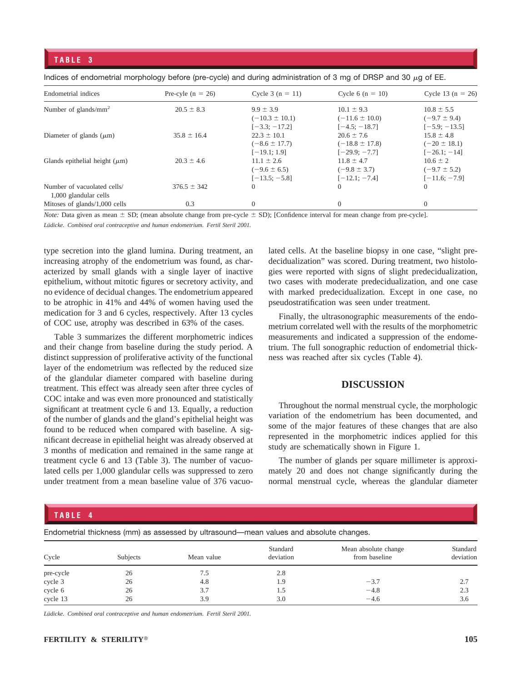#### **TABLE 3**

| Endometrial indices                                  | Pre-cyle $(n = 26)$ | Cycle 3 $(n = 11)$                  | Cycle 6 ( $n = 10$ )                 | Cycle 13 ( $n = 26$ )              |
|------------------------------------------------------|---------------------|-------------------------------------|--------------------------------------|------------------------------------|
| Number of glands/ $mm2$                              | $20.5 \pm 8.3$      | $9.9 \pm 3.9$<br>$(-10.3 \pm 10.1)$ | $10.1 \pm 9.3$<br>$(-11.6 \pm 10.0)$ | $10.8 \pm 5.5$<br>$(-9.7 \pm 9.4)$ |
|                                                      |                     | $[-3.3; -17.2]$                     | $[-4.5; -18.7]$                      | $[-5.9; -13.5]$                    |
| Diameter of glands $(\mu m)$                         | $35.8 \pm 16.4$     | $22.3 \pm 10.1$                     | $20.6 \pm 7.6$                       | $15.8 \pm 4.8$                     |
|                                                      |                     | $(-8.6 \pm 17.7)$                   | $(-18.8 \pm 17.8)$                   | $(-20 \pm 18.1)$                   |
|                                                      |                     | $[-19.1; 1.9]$                      | $[-29.9; -7.7]$                      | $[-26.1; -14]$                     |
| Glands epithelial height $(\mu m)$                   | $20.3 \pm 4.6$      | $11.1 \pm 2.6$                      | $11.8 \pm 4.7$                       | $10.6 \pm 2$                       |
|                                                      |                     | $(-9.6 \pm 6.5)$                    | $(-9.8 \pm 3.7)$                     | $(-9.7 \pm 5.2)$                   |
|                                                      |                     | $[-13.5; -5.8]$                     | $[-12.1; -7.4]$                      | $[-11.6; -7.9]$                    |
| Number of vacuolated cells/<br>1,000 glandular cells | $376.5 \pm 342$     | $\overline{0}$                      | $\Omega$                             | $\Omega$                           |
| Mitoses of glands/1,000 cells                        | 0.3                 | $\overline{0}$                      | $\Omega$                             | $\Omega$                           |

Indices of endometrial morphology before (pre-cycle) and during administration of 3 mg of DRSP and 30  $\mu$ g of EE.

*Note:* Data given as mean  $\pm$  SD; (mean absolute change from pre-cycle  $\pm$  SD); [Confidence interval for mean change from pre-cycle].

Lüdicke. Combined oral contraceptive and human endometrium. Fertil Steril 2001.

type secretion into the gland lumina. During treatment, an increasing atrophy of the endometrium was found, as characterized by small glands with a single layer of inactive epithelium, without mitotic figures or secretory activity, and no evidence of decidual changes. The endometrium appeared to be atrophic in 41% and 44% of women having used the medication for 3 and 6 cycles, respectively. After 13 cycles of COC use, atrophy was described in 63% of the cases.

Table 3 summarizes the different morphometric indices and their change from baseline during the study period. A distinct suppression of proliferative activity of the functional layer of the endometrium was reflected by the reduced size of the glandular diameter compared with baseline during treatment. This effect was already seen after three cycles of COC intake and was even more pronounced and statistically significant at treatment cycle 6 and 13. Equally, a reduction of the number of glands and the gland's epithelial height was found to be reduced when compared with baseline. A significant decrease in epithelial height was already observed at 3 months of medication and remained in the same range at treatment cycle 6 and 13 (Table 3). The number of vacuolated cells per 1,000 glandular cells was suppressed to zero under treatment from a mean baseline value of 376 vacuolated cells. At the baseline biopsy in one case, "slight predecidualization" was scored. During treatment, two histologies were reported with signs of slight predecidualization, two cases with moderate predecidualization, and one case with marked predecidualization. Except in one case, no pseudostratification was seen under treatment.

Finally, the ultrasonographic measurements of the endometrium correlated well with the results of the morphometric measurements and indicated a suppression of the endometrium. The full sonographic reduction of endometrial thickness was reached after six cycles (Table 4).

## **DISCUSSION**

Throughout the normal menstrual cycle, the morphologic variation of the endometrium has been documented, and some of the major features of these changes that are also represented in the morphometric indices applied for this study are schematically shown in Figure 1.

The number of glands per square millimeter is approximately 20 and does not change significantly during the normal menstrual cycle, whereas the glandular diameter

## **TABLE 4**

Endometrial thickness (mm) as assessed by ultrasound—mean values and absolute changes.

| Cycle     | Subjects | Mean value | Standard<br>deviation | Mean absolute change<br>from baseline | Standard<br>deviation |
|-----------|----------|------------|-----------------------|---------------------------------------|-----------------------|
| pre-cycle | 26       | 7.5        | 2.8                   |                                       |                       |
| cycle 3   | 26       | 4.8        | 1.9                   | $-3.7$                                | 2.7                   |
| cycle 6   | 26       | 3.7        | 1.5                   | $-4.8$                                | 2.3                   |
| cycle 13  | 26       | 3.9        | 3.0                   | $-4.6$                                | 3.6                   |

Lüdicke. Combined oral contraceptive and human endometrium. Fertil Steril 2001.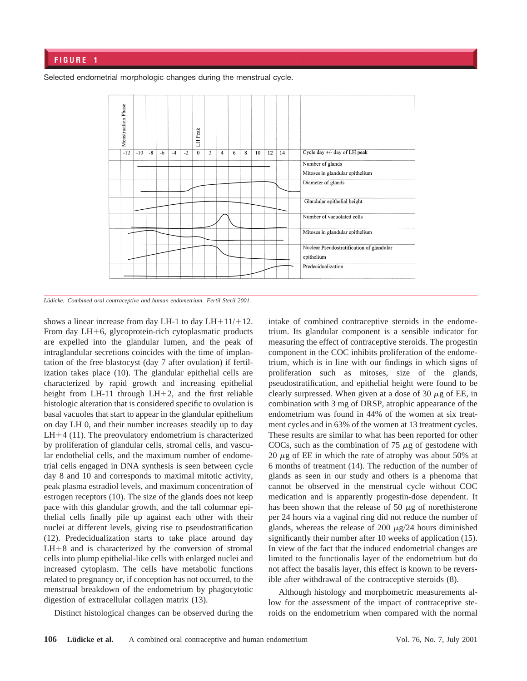Selected endometrial morphologic changes during the menstrual cycle.



Lüdicke. Combined oral contraceptive and human endometrium. Fertil Steril 2001.

shows a linear increase from day LH-1 to day  $LH+11/+12$ . From day  $LH+6$ , glycoprotein-rich cytoplasmatic products are expelled into the glandular lumen, and the peak of intraglandular secretions coincides with the time of implantation of the free blastocyst (day 7 after ovulation) if fertilization takes place (10). The glandular epithelial cells are characterized by rapid growth and increasing epithelial height from LH-11 through LH+2, and the first reliable histologic alteration that is considered specific to ovulation is basal vacuoles that start to appear in the glandular epithelium on day LH 0, and their number increases steadily up to day  $LH+4$  (11). The preovulatory endometrium is characterized by proliferation of glandular cells, stromal cells, and vascular endothelial cells, and the maximum number of endometrial cells engaged in DNA synthesis is seen between cycle day 8 and 10 and corresponds to maximal mitotic activity, peak plasma estradiol levels, and maximum concentration of estrogen receptors (10). The size of the glands does not keep pace with this glandular growth, and the tall columnar epithelial cells finally pile up against each other with their nuclei at different levels, giving rise to pseudostratification (12). Predecidualization starts to take place around day  $LH+8$  and is characterized by the conversion of stromal cells into plump epithelial-like cells with enlarged nuclei and increased cytoplasm. The cells have metabolic functions related to pregnancy or, if conception has not occurred, to the menstrual breakdown of the endometrium by phagocytotic digestion of extracellular collagen matrix (13).

Distinct histological changes can be observed during the

intake of combined contraceptive steroids in the endometrium. Its glandular component is a sensible indicator for measuring the effect of contraceptive steroids. The progestin component in the COC inhibits proliferation of the endometrium, which is in line with our findings in which signs of proliferation such as mitoses, size of the glands, pseudostratification, and epithelial height were found to be clearly surpressed. When given at a dose of 30  $\mu$ g of EE, in combination with 3 mg of DRSP, atrophic appearance of the endometrium was found in 44% of the women at six treatment cycles and in 63% of the women at 13 treatment cycles. These results are similar to what has been reported for other COCs, such as the combination of  $75 \mu g$  of gestodene with 20  $\mu$ g of EE in which the rate of atrophy was about 50% at 6 months of treatment (14). The reduction of the number of glands as seen in our study and others is a phenoma that cannot be observed in the menstrual cycle without COC medication and is apparently progestin-dose dependent. It has been shown that the release of 50  $\mu$ g of norethisterone per 24 hours via a vaginal ring did not reduce the number of glands, whereas the release of 200  $\mu$ g/24 hours diminished significantly their number after 10 weeks of application (15). In view of the fact that the induced endometrial changes are limited to the functionalis layer of the endometrium but do not affect the basalis layer, this effect is known to be reversible after withdrawal of the contraceptive steroids (8).

Although histology and morphometric measurements allow for the assessment of the impact of contraceptive steroids on the endometrium when compared with the normal